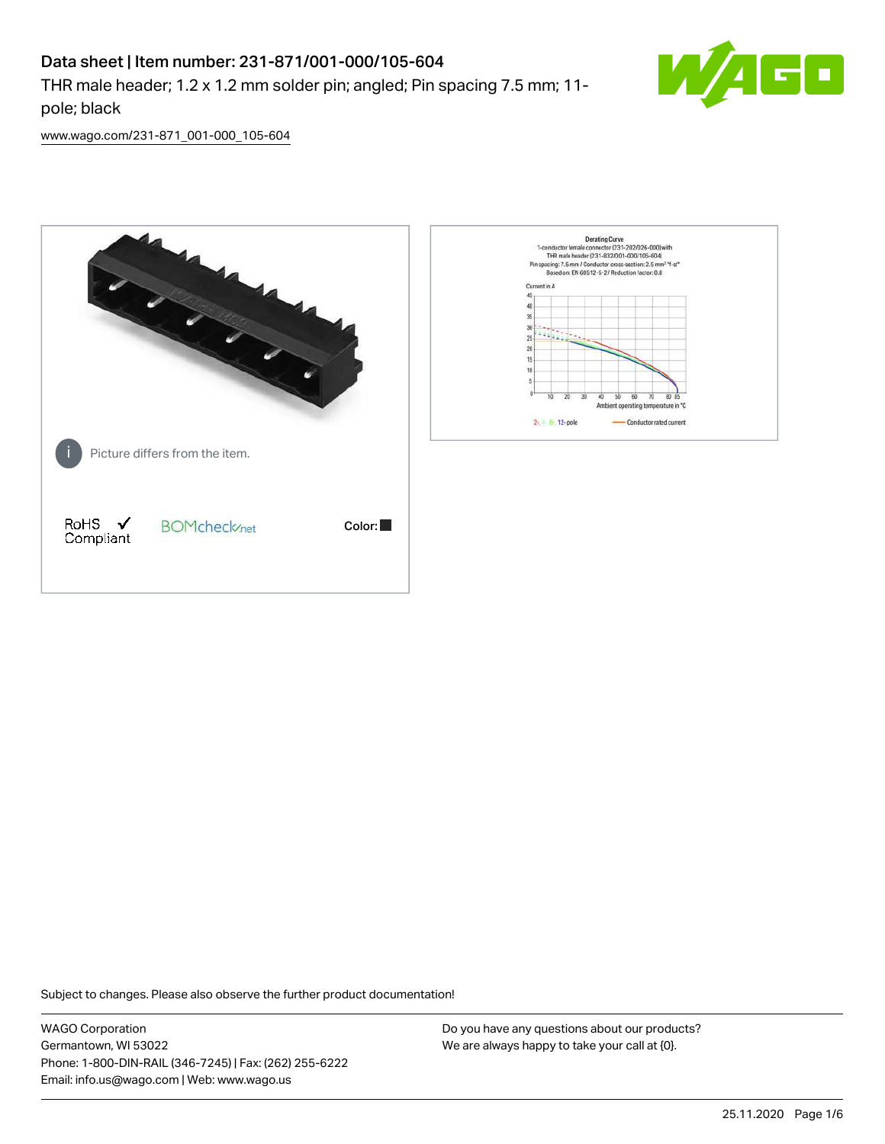# Data sheet | Item number: 231-871/001-000/105-604

THR male header; 1.2 x 1.2 mm solder pin; angled; Pin spacing 7.5 mm; 11 pole; black



[www.wago.com/231-871\\_001-000\\_105-604](http://www.wago.com/231-871_001-000_105-604)



Subject to changes. Please also observe the further product documentation!

WAGO Corporation Germantown, WI 53022 Phone: 1-800-DIN-RAIL (346-7245) | Fax: (262) 255-6222 Email: info.us@wago.com | Web: www.wago.us

Do you have any questions about our products? We are always happy to take your call at {0}.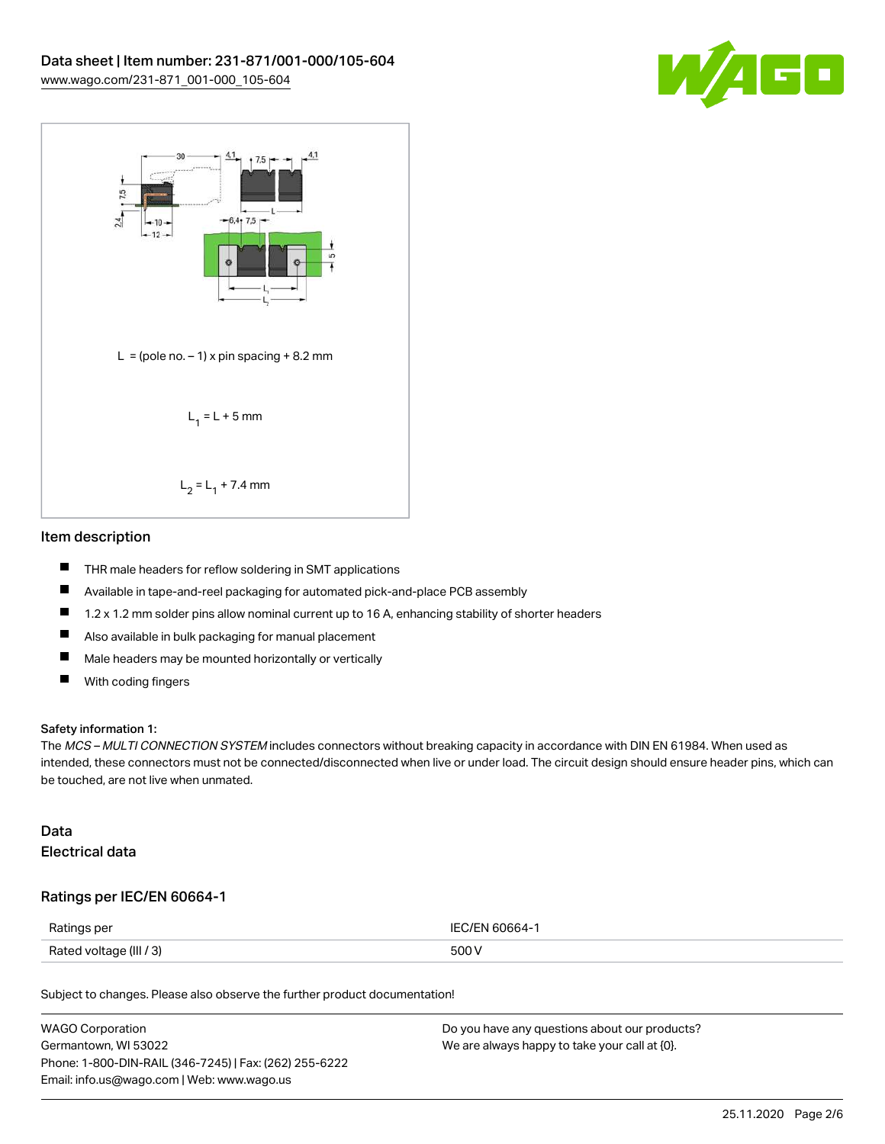



### Item description

- $\blacksquare$ THR male headers for reflow soldering in SMT applications
- $\blacksquare$ Available in tape-and-reel packaging for automated pick-and-place PCB assembly
- П 1.2 x 1.2 mm solder pins allow nominal current up to 16 A, enhancing stability of shorter headers
- $\blacksquare$ Also available in bulk packaging for manual placement
- $\blacksquare$ Male headers may be mounted horizontally or vertically
- $\blacksquare$ With coding fingers

#### Safety information 1:

The MCS – MULTI CONNECTION SYSTEM includes connectors without breaking capacity in accordance with DIN EN 61984. When used as intended, these connectors must not be connected/disconnected when live or under load. The circuit design should ensure header pins, which can be touched, are not live when unmated.

### Data Electrical data

### Ratings per IEC/EN 60664-1

| Ratings per             | IFC/FN 60664-1 |
|-------------------------|----------------|
| Rated voltage (III / 3) | 500 V          |

Subject to changes. Please also observe the further product documentation!

| <b>WAGO Corporation</b>                                | Do you have any questions about our products? |
|--------------------------------------------------------|-----------------------------------------------|
| Germantown, WI 53022                                   | We are always happy to take your call at {0}. |
| Phone: 1-800-DIN-RAIL (346-7245)   Fax: (262) 255-6222 |                                               |
| Email: info.us@wago.com   Web: www.wago.us             |                                               |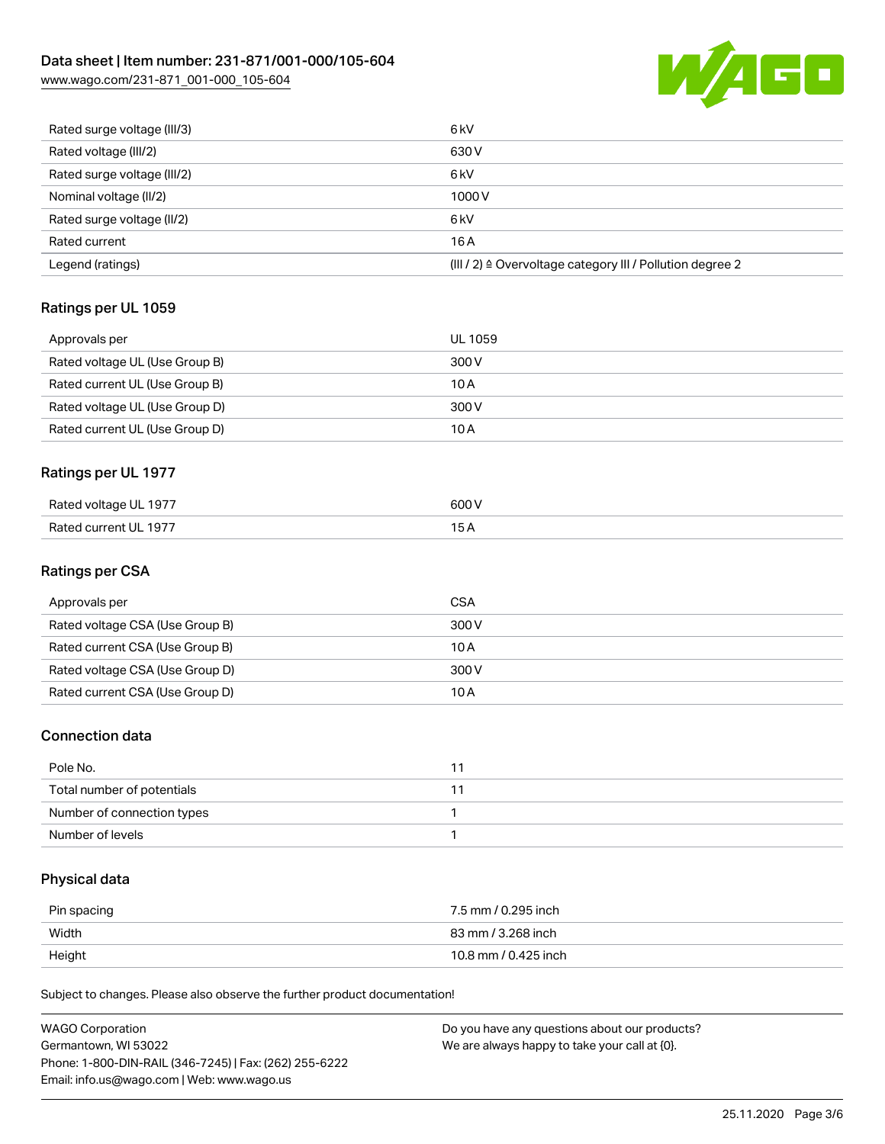# Data sheet | Item number: 231-871/001-000/105-604

[www.wago.com/231-871\\_001-000\\_105-604](http://www.wago.com/231-871_001-000_105-604)



| Rated surge voltage (III/3) | 6 <sub>kV</sub>                                                       |
|-----------------------------|-----------------------------------------------------------------------|
| Rated voltage (III/2)       | 630 V                                                                 |
| Rated surge voltage (III/2) | 6 <sub>k</sub> V                                                      |
| Nominal voltage (II/2)      | 1000V                                                                 |
| Rated surge voltage (II/2)  | 6 <sub>k</sub> V                                                      |
| Rated current               | 16A                                                                   |
| Legend (ratings)            | $(III / 2)$ $\triangle$ Overvoltage category III / Pollution degree 2 |

## Ratings per UL 1059

| Approvals per                  | UL 1059 |
|--------------------------------|---------|
| Rated voltage UL (Use Group B) | 300 V   |
| Rated current UL (Use Group B) | 10 A    |
| Rated voltage UL (Use Group D) | 300 V   |
| Rated current UL (Use Group D) | 10 A    |

# Ratings per UL 1977

| Rated voltage UL 1977     | 600\  |
|---------------------------|-------|
| FUL 1977<br>Rated current | _____ |

### Ratings per CSA

| Approvals per                   | <b>CSA</b> |
|---------------------------------|------------|
| Rated voltage CSA (Use Group B) | 300 V      |
| Rated current CSA (Use Group B) | 10 A       |
| Rated voltage CSA (Use Group D) | 300 V      |
| Rated current CSA (Use Group D) | 10 A       |

### Connection data

| Pole No.                   |  |
|----------------------------|--|
| Total number of potentials |  |
| Number of connection types |  |
| Number of levels           |  |

# Physical data

| Pin spacing | 7.5 mm / 0.295 inch  |
|-------------|----------------------|
| Width       | 83 mm / 3.268 inch   |
| Height      | 10.8 mm / 0.425 inch |

Subject to changes. Please also observe the further product documentation!

| WAGO Corporation                                       | Do you have any questions about our products? |
|--------------------------------------------------------|-----------------------------------------------|
| Germantown, WI 53022                                   | We are always happy to take your call at {0}. |
| Phone: 1-800-DIN-RAIL (346-7245)   Fax: (262) 255-6222 |                                               |
| Email: info.us@wago.com   Web: www.wago.us             |                                               |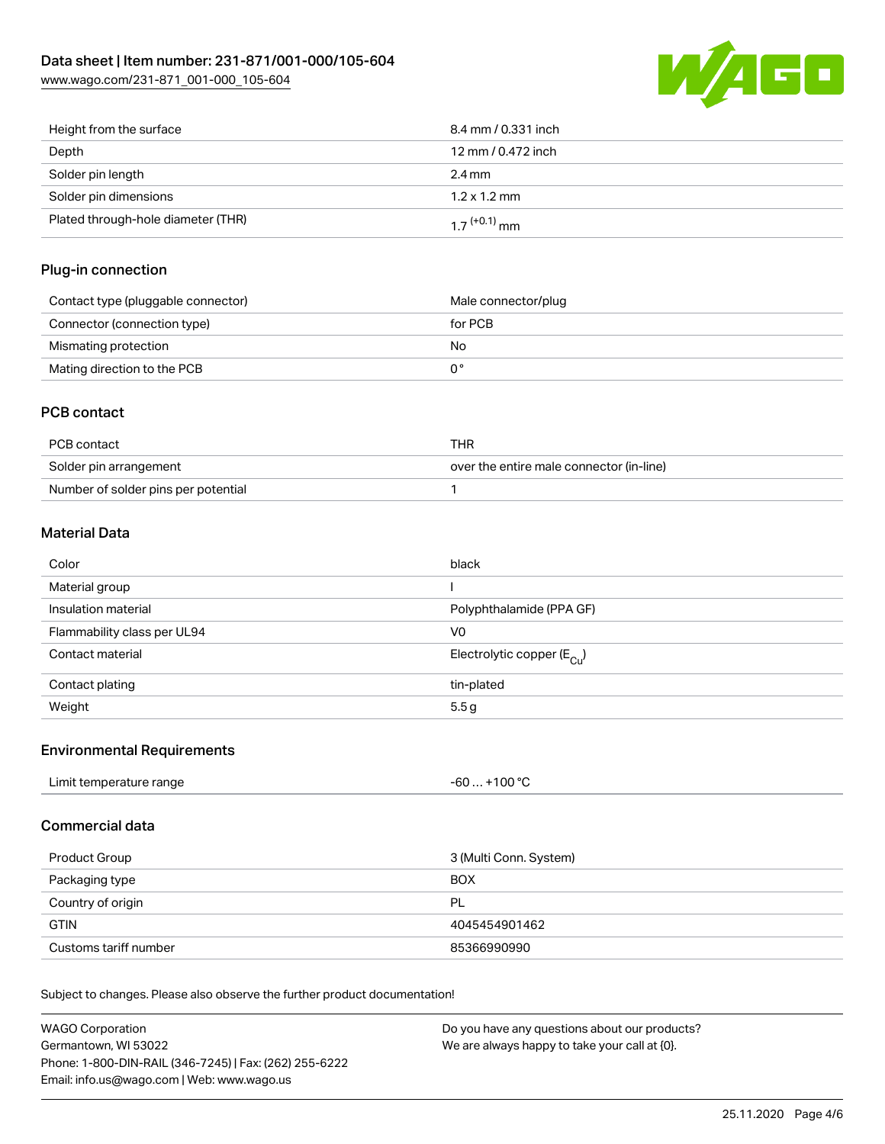

| Height from the surface            | 8.4 mm / 0.331 inch        |
|------------------------------------|----------------------------|
| Depth                              | 12 mm / 0.472 inch         |
| Solder pin length                  | $2.4 \text{ mm}$           |
| Solder pin dimensions              | $1.2 \times 1.2$ mm        |
| Plated through-hole diameter (THR) | $1.7$ <sup>(+0.1)</sup> mm |

### Plug-in connection

| Contact type (pluggable connector) | Male connector/plug |
|------------------------------------|---------------------|
| Connector (connection type)        | for PCB             |
| Mismating protection               | No                  |
| Mating direction to the PCB        |                     |

### PCB contact

| PCB contact                         | THR                                      |
|-------------------------------------|------------------------------------------|
| Solder pin arrangement              | over the entire male connector (in-line) |
| Number of solder pins per potential |                                          |

### Material Data

| Color                       | black                                 |
|-----------------------------|---------------------------------------|
| Material group              |                                       |
| Insulation material         | Polyphthalamide (PPA GF)              |
| Flammability class per UL94 | V0                                    |
| Contact material            | Electrolytic copper $(E_{\text{Cl}})$ |
| Contact plating             | tin-plated                            |
| Weight                      | 5.5 <sub>g</sub>                      |

### Environmental Requirements

| Limit temperature range | . +100 °C |
|-------------------------|-----------|
|                         | -60       |
|                         |           |

### Commercial data

| Product Group         | 3 (Multi Conn. System) |
|-----------------------|------------------------|
| Packaging type        | <b>BOX</b>             |
| Country of origin     | PL                     |
| <b>GTIN</b>           | 4045454901462          |
| Customs tariff number | 85366990990            |

Subject to changes. Please also observe the further product documentation!

| WAGO Corporation                                       | Do you have any questions about our products? |
|--------------------------------------------------------|-----------------------------------------------|
| Germantown, WI 53022                                   | We are always happy to take your call at {0}. |
| Phone: 1-800-DIN-RAIL (346-7245)   Fax: (262) 255-6222 |                                               |
| Email: info.us@wago.com   Web: www.wago.us             |                                               |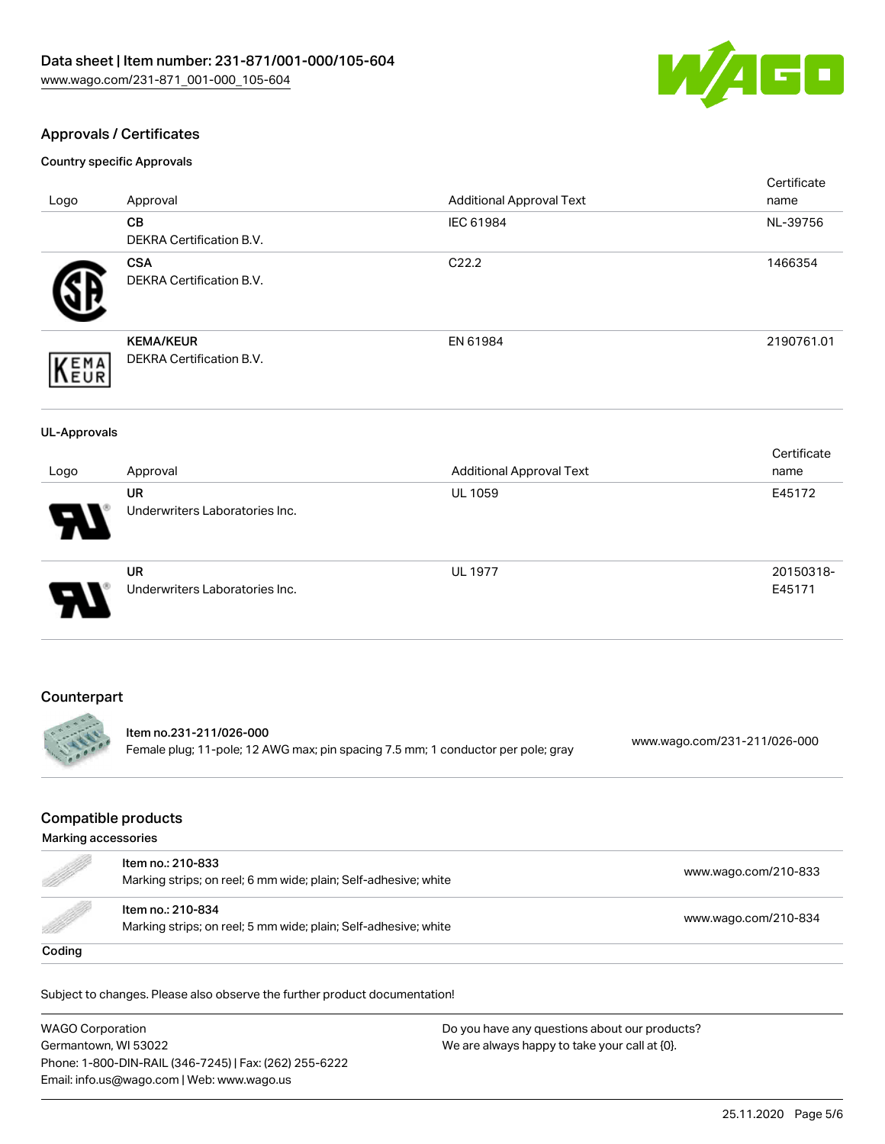

### Approvals / Certificates

Country specific Approvals

| Logo                                              | Approval                                                                                                    | <b>Additional Approval Text</b> | Certificate<br>name          |  |
|---------------------------------------------------|-------------------------------------------------------------------------------------------------------------|---------------------------------|------------------------------|--|
|                                                   | CB<br>DEKRA Certification B.V.                                                                              | IEC 61984                       | NL-39756                     |  |
|                                                   | <b>CSA</b><br>DEKRA Certification B.V.                                                                      | C22.2                           | 1466354                      |  |
| EMA<br>EUR                                        | <b>KEMA/KEUR</b><br>DEKRA Certification B.V.                                                                | EN 61984                        | 2190761.01                   |  |
| <b>UL-Approvals</b>                               |                                                                                                             |                                 |                              |  |
| Logo                                              | Approval                                                                                                    | <b>Additional Approval Text</b> | Certificate<br>name          |  |
|                                                   | <b>UR</b><br>Underwriters Laboratories Inc.                                                                 | <b>UL 1059</b>                  | E45172                       |  |
|                                                   | <b>UR</b><br>Underwriters Laboratories Inc.                                                                 | <b>UL 1977</b>                  | 20150318-<br>E45171          |  |
| Counterpart                                       |                                                                                                             |                                 |                              |  |
|                                                   | Item no.231-211/026-000<br>Female plug; 11-pole; 12 AWG max; pin spacing 7.5 mm; 1 conductor per pole; gray |                                 | www.wago.com/231-211/026-000 |  |
| <b>Compatible products</b><br>Marking accessories |                                                                                                             |                                 |                              |  |

| W)                                                                                                                                                                                                                              | Item no.: 210-833<br>Marking strips; on reel; 6 mm wide; plain; Self-adhesive; white | www.wago.com/210-833 |
|---------------------------------------------------------------------------------------------------------------------------------------------------------------------------------------------------------------------------------|--------------------------------------------------------------------------------------|----------------------|
| e de la companya de la companya de la companya de la companya de la companya de la companya de la companya de<br>La companya de la companya de la companya de la companya de la companya de la companya de la companya de la co | Item no.: 210-834<br>Marking strips; on reel; 5 mm wide; plain; Self-adhesive; white | www.wago.com/210-834 |
| Coding                                                                                                                                                                                                                          |                                                                                      |                      |

Subject to changes. Please also observe the further product documentation!

WAGO Corporation Germantown, WI 53022 Phone: 1-800-DIN-RAIL (346-7245) | Fax: (262) 255-6222 Email: info.us@wago.com | Web: www.wago.us Do you have any questions about our products? We are always happy to take your call at {0}.